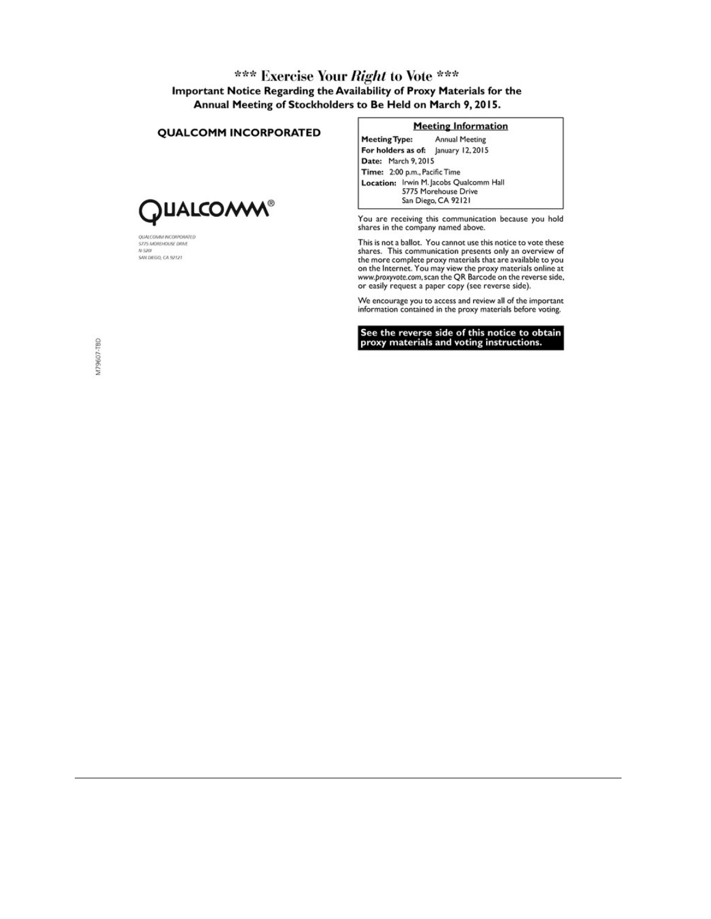### \*\*\* Exercise Your Right to Vote \*\*\* Important Notice Regarding the Availability of Proxy Materials for the Annual Meeting of Stockholders to Be Held on March 9, 2015.

**QUALCOMM INCORPORATED** 



QUALCOMM INCORPORATED<br>5775 MOREHOUSE DRAE  $84,520$ SAN DEGO, CA 92121

#### **Meeting Information**

**Meeting Type: Annual Meeting** For holders as of: January 12, 2015 Date: March 9, 2015 Time: 2:00 p.m., Pacific Time **Location:** Irwin M. Jacobs Qualcomm Hall<br>
5775 Morehouse Drive<br>
San Diego, CA 92121

You are receiving this communication because you hold<br>shares in the company named above.

This is not a ballot. You cannot use this notice to vote these shares. This communication presents only an overview of the more complete proxy materials that are available to you<br>on the Internet. You may view the proxy materials online at<br>www.proxyvote.com, scan the QR Barcode on the reverse side, or easily request a paper copy (see reverse side).

We encourage you to access and review all of the important<br>information contained in the proxy materials before voting.

See the reverse side of this notice to obtain<br>proxy materials and voting instructions.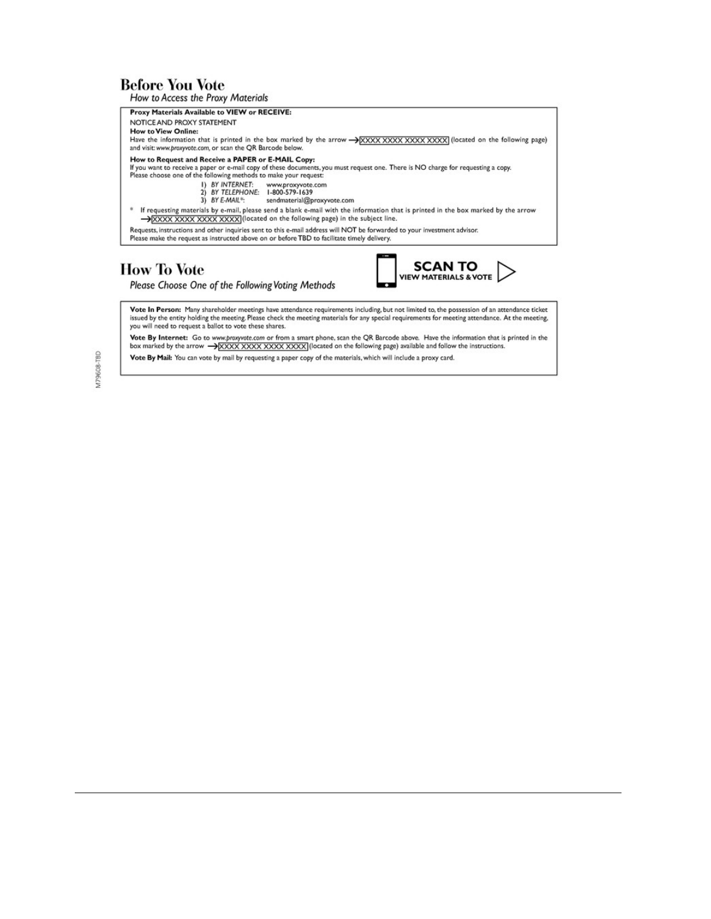# **Before You Vote**

How to Access the Proxy Materials



Vote In Person: Many shareholder meetings have attendance requirements including, but not limited to, the possession of an attendance ticket Issued by the entity holding the meeting. Please check the meeting materials for any special requirements for meeting attendance. At the meeting, you will need to request a ballot to vote these shares.

Vote By Internet: Go to www.proxyvote.com or from a smart phone, scan the QR Barcode above. Have the information that is printed in the box marked by the arrow -> XXXX XXXX XXXX XXXX (located on the following page) available and follow the instructions.

Vote By Mail: You can vote by mail by requesting a paper copy of the materials, which will include a proxy card.

V179608-TBD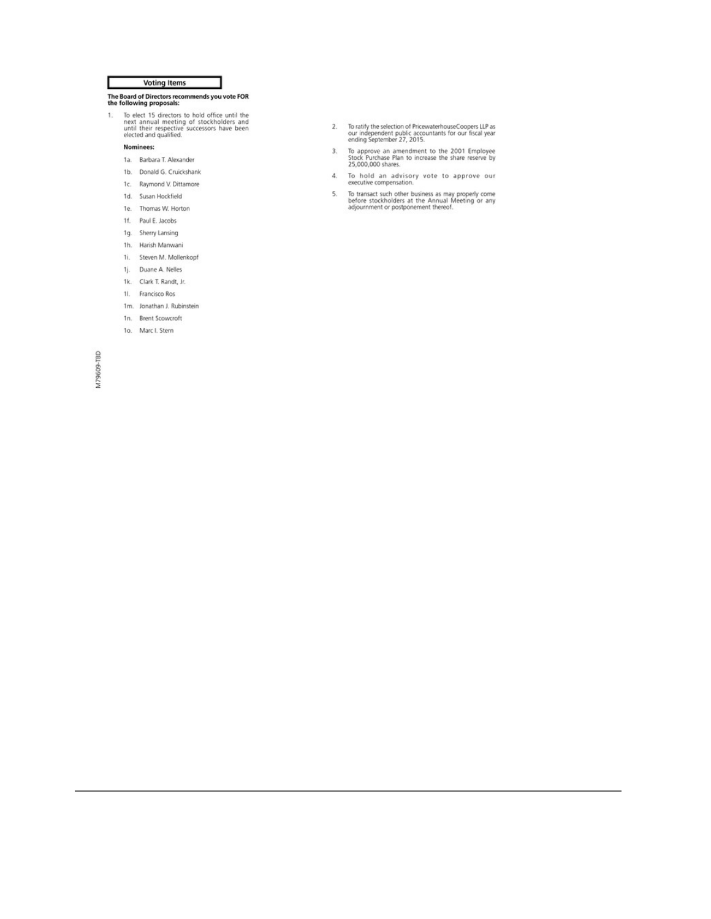## **Voting Items**

# The Board of Directors recommends you vote FOR<br>the following proposals:

1. To elect 15 directors to hold office until the<br>next annual meeting of stockholders and<br>until their respective successors have been<br>elected and qualified.

#### Nominees:

- 1a. Barbara T. Alexander
- 1b. Donald G. Cruickshank
- 1c. Raymond V. Dittamore
- 1d. Susan Hockfield
- 1e. Thomas W. Horton
- 1f. Paul E. Jacobs
- 1g. Sherry Lansing
- 1h. Harish Manwani
- 1i. Steven M. Mollenkopf
- 1j. Duane A. Nelles
- 1k. Clark T. Randt, Jr.
- 
- 11. Francisco Ros
- 1m. Jonathan J. Rubinstein
- 1n. Brent Scowcroft
- 1o. Marc I. Stern

M79609-TBD

- 2. To ratify the selection of PricewaterhouseCoopers LLP as<br>our independent public accountants for our fiscal year<br>ending September 27, 2015.
- 3. To approve an amendment to the 2001 Employee<br>Stock Purchase Plan to increase the share reserve by<br>25,000,000 shares.
- 4. To hold an advisory vote to approve our executive compensation.
- 5. To transact such other business as may properly come before stockholders at the Annual Meeting or any adjournment or postponement thereof.